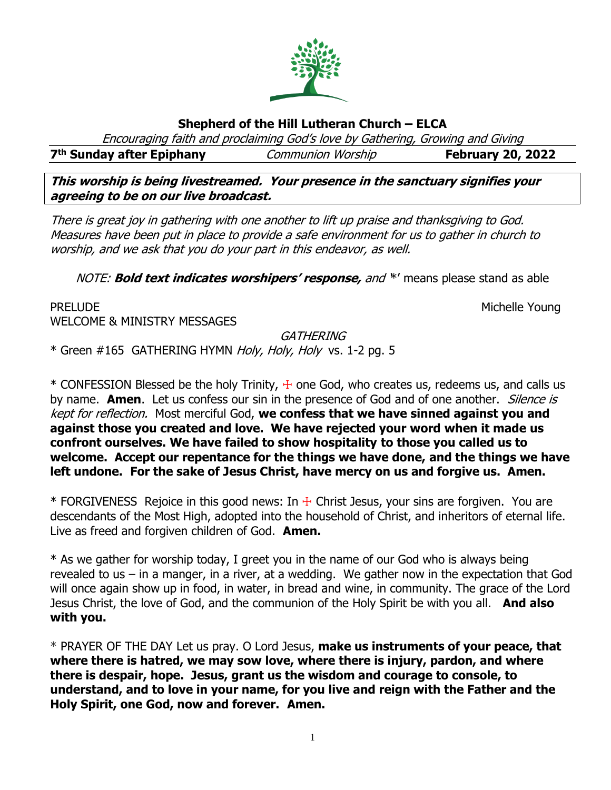

# **Shepherd of the Hill Lutheran Church – ELCA**

Encouraging faith and proclaiming God's love by Gathering, Growing and Giving

**7 th Sunday after Epiphany** Communion Worship **February 20, 2022**

**This worship is being livestreamed. Your presence in the sanctuary signifies your agreeing to be on our live broadcast.** 

There is great joy in gathering with one another to lift up praise and thanksgiving to God. Measures have been put in place to provide a safe environment for us to gather in church to worship, and we ask that you do your part in this endeavor, as well.

NOTE: **Bold text indicates worshipers' response,** and '\*' means please stand as able

PRELUDE **Example 2018** Michelle Young WELCOME & MINISTRY MESSAGES

**GATHERING** 

\* Green #165 GATHERING HYMN Holy, Holy, Holy vs. 1-2 pg. 5

 $*$  CONFESSION Blessed be the holy Trinity,  $+$  one God, who creates us, redeems us, and calls us by name. **Amen**. Let us confess our sin in the presence of God and of one another. Silence is kept for reflection. Most merciful God, **we confess that we have sinned against you and against those you created and love. We have rejected your word when it made us confront ourselves. We have failed to show hospitality to those you called us to welcome. Accept our repentance for the things we have done, and the things we have left undone. For the sake of Jesus Christ, have mercy on us and forgive us. Amen.**

 $*$  FORGIVENESS Rejoice in this good news: In  $\pm$  Christ Jesus, your sins are forgiven. You are descendants of the Most High, adopted into the household of Christ, and inheritors of eternal life. Live as freed and forgiven children of God. **Amen.**

\* As we gather for worship today, I greet you in the name of our God who is always being revealed to us – in a manger, in a river, at a wedding. We gather now in the expectation that God will once again show up in food, in water, in bread and wine, in community. The grace of the Lord Jesus Christ, the love of God, and the communion of the Holy Spirit be with you all. **And also with you.**

\* PRAYER OF THE DAY Let us pray. O Lord Jesus, **make us instruments of your peace, that where there is hatred, we may sow love, where there is injury, pardon, and where there is despair, hope. Jesus, grant us the wisdom and courage to console, to understand, and to love in your name, for you live and reign with the Father and the Holy Spirit, one God, now and forever. Amen.**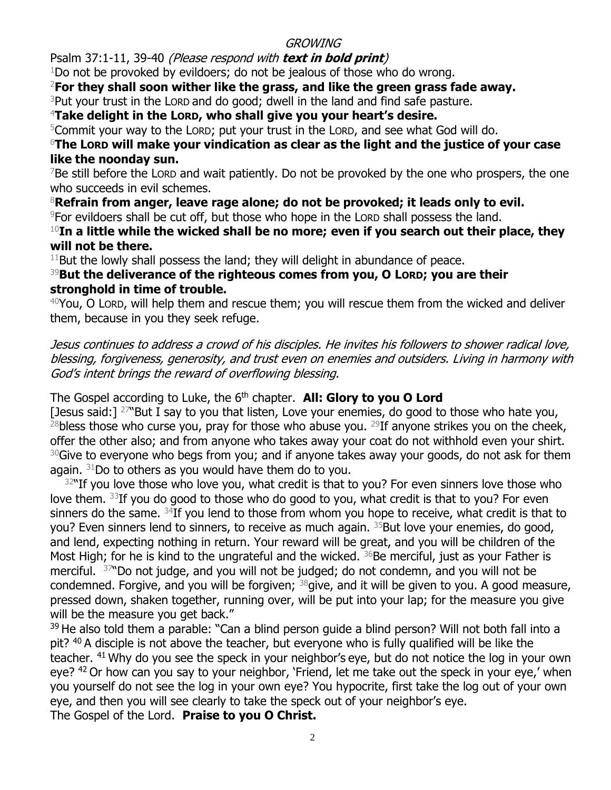# **GROWING**

Psalm 37:1-11, 39-40 (Please respond with **text in bold print**)

 $1$ Do not be provoked by evildoers; do not be jealous of those who do wrong.

<sup>2</sup>**For they shall soon wither like the grass, and like the green grass fade away.**

 $3$ Put your trust in the LORD and do good; dwell in the land and find safe pasture.

<sup>4</sup>**Take delight in the LORD, who shall give you your heart's desire.**

<sup>5</sup>Commit your way to the LORD; put your trust in the LORD, and see what God will do.

# <sup>6</sup>**The LORD will make your vindication as clear as the light and the justice of your case like the noonday sun.**

 $7$ Be still before the LORD and wait patiently. Do not be provoked by the one who prospers, the one who succeeds in evil schemes.

<sup>8</sup>**Refrain from anger, leave rage alone; do not be provoked; it leads only to evil.**

<sup>9</sup>For evildoers shall be cut off, but those who hope in the LORD shall possess the land.

<sup>10</sup>**In a little while the wicked shall be no more; even if you search out their place, they will not be there.**

 $11$ But the lowly shall possess the land; they will delight in abundance of peace.

# <sup>39</sup>**But the deliverance of the righteous comes from you, O LORD; you are their stronghold in time of trouble.**

 $40$ You, O LORD, will help them and rescue them; you will rescue them from the wicked and deliver them, because in you they seek refuge.

Jesus continues to address a crowd of his disciples. He invites his followers to shower radical love, blessing, forgiveness, generosity, and trust even on enemies and outsiders. Living in harmony with God's intent brings the reward of overflowing blessing.

The Gospel according to Luke, the 6<sup>th</sup> chapter. **All: Glory to you O Lord** 

[Jesus said:]  $27^{\circ}$ But I say to you that listen, Love your enemies, do good to those who hate you,  $^{28}$ bless those who curse you, pray for those who abuse you.  $^{29}$ If anyone strikes you on the cheek, offer the other also; and from anyone who takes away your coat do not withhold even your shirt.  $30$ Give to everyone who begs from you; and if anyone takes away your goods, do not ask for them again.  $31$ Do to others as you would have them do to you.

 $32$ "If you love those who love you, what credit is that to you? For even sinners love those who love them.  $33$ If you do good to those who do good to you, what credit is that to you? For even sinners do the same.  $34$ If you lend to those from whom you hope to receive, what credit is that to you? Even sinners lend to sinners, to receive as much again. <sup>35</sup>But love your enemies, do good, and lend, expecting nothing in return. Your reward will be great, and you will be children of the Most High; for he is kind to the ungrateful and the wicked.  $36$ Be merciful, just as your Father is merciful. <sup>37</sup> Do not judge, and you will not be judged; do not condemn, and you will not be condemned. Forgive, and you will be forgiven;  $38$  give, and it will be given to you. A good measure, pressed down, shaken together, running over, will be put into your lap; for the measure you give will be the measure you get back."

<sup>39</sup> He also told them a parable: "Can a blind person quide a blind person? Will not both fall into a pit? <sup>40</sup> A disciple is not above the teacher, but everyone who is fully qualified will be like the teacher. <sup>41</sup> Why do you see the speck in your neighbor's eye, but do not notice the log in your own eye? <sup>42</sup> Or how can you say to your neighbor, 'Friend, let me take out the speck in your eye,' when you yourself do not see the log in your own eye? You hypocrite, first take the log out of your own eye, and then you will see clearly to take the speck out of your neighbor's eye.

The Gospel of the Lord. **Praise to you O Christ.**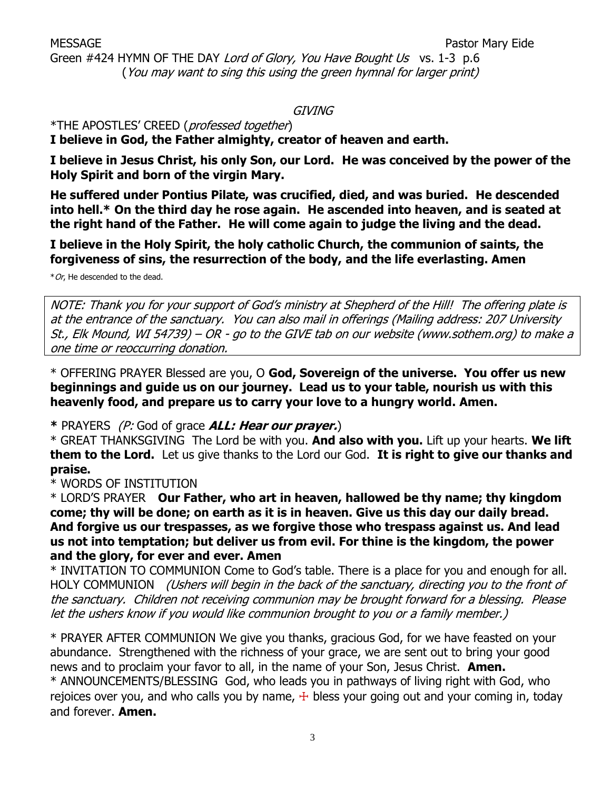Green #424 HYMN OF THE DAY Lord of Glory, You Have Bought Us vs. 1-3 p.6 (You may want to sing this using the green hymnal for larger print)

#### GIVING

\*THE APOSTLES' CREED (professed together)

**I believe in God, the Father almighty, creator of heaven and earth.**

**I believe in Jesus Christ, his only Son, our Lord. He was conceived by the power of the Holy Spirit and born of the virgin Mary.**

**He suffered under Pontius Pilate, was crucified, died, and was buried. He descended into hell.\* On the third day he rose again. He ascended into heaven, and is seated at the right hand of the Father. He will come again to judge the living and the dead.**

**I believe in the Holy Spirit, the holy catholic Church, the communion of saints, the forgiveness of sins, the resurrection of the body, and the life everlasting. Amen**

\*Or, He descended to the dead.

NOTE: Thank you for your support of God's ministry at Shepherd of the Hill! The offering plate is at the entrance of the sanctuary. You can also mail in offerings (Mailing address: 207 University St., Elk Mound, WI 54739) – OR - go to the GIVE tab on our website (www.sothem.org) to make a one time or reoccurring donation.

\* OFFERING PRAYER Blessed are you, O **God, Sovereign of the universe. You offer us new beginnings and guide us on our journey. Lead us to your table, nourish us with this heavenly food, and prepare us to carry your love to a hungry world. Amen.**

**\*** PRAYERS (P: God of grace **ALL: Hear our prayer.**)

\* GREAT THANKSGIVING The Lord be with you. **And also with you.** Lift up your hearts. **We lift them to the Lord.** Let us give thanks to the Lord our God. **It is right to give our thanks and praise.** 

\* WORDS OF INSTITUTION

\* LORD'S PRAYER **Our Father, who art in heaven, hallowed be thy name; thy kingdom come; thy will be done; on earth as it is in heaven. Give us this day our daily bread. And forgive us our trespasses, as we forgive those who trespass against us. And lead us not into temptation; but deliver us from evil. For thine is the kingdom, the power and the glory, for ever and ever. Amen**

\* INVITATION TO COMMUNION Come to God's table. There is a place for you and enough for all. HOLY COMMUNION (Ushers will begin in the back of the sanctuary, directing you to the front of the sanctuary. Children not receiving communion may be brought forward for a blessing. Please let the ushers know if you would like communion brought to you or a family member.)

\* PRAYER AFTER COMMUNION We give you thanks, gracious God, for we have feasted on your abundance. Strengthened with the richness of your grace, we are sent out to bring your good news and to proclaim your favor to all, in the name of your Son, Jesus Christ. **Amen.** \* ANNOUNCEMENTS/BLESSING God, who leads you in pathways of living right with God, who rejoices over you, and who calls you by name,  $+$  bless your going out and your coming in, today and forever. **Amen.**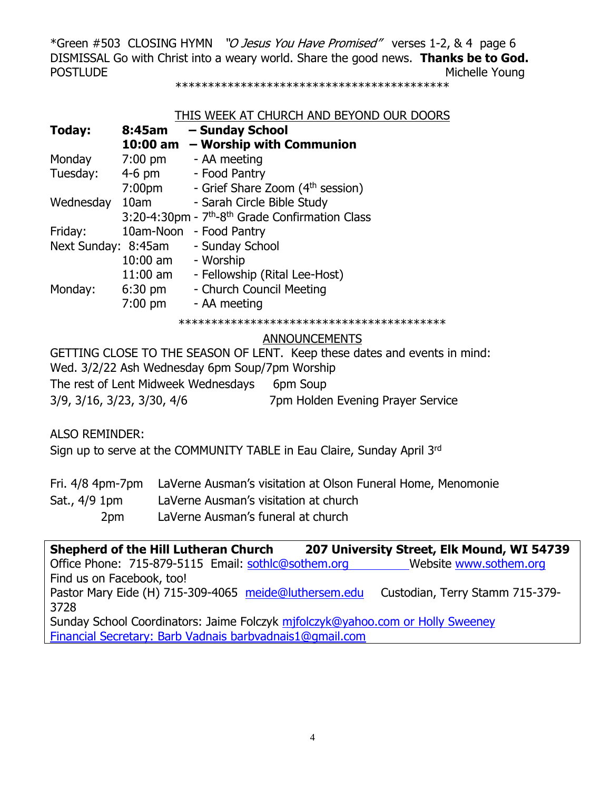\*Green #503 CLOSING HYMN "O Jesus You Have Promised" verses 1-2, & 4 page 6 DISMISSAL Go with Christ into a weary world. Share the good news. **Thanks be to God.** POSTLUDE **Michelle Young** 

\*\*\*\*\*\*\*\*\*\*\*\*\*\*\*\*\*\*\*\*\*\*\*\*\*\*\*\*\*\*\*\*\*\*\*\*\*\*\*\*\*\*

#### THIS WEEK AT CHURCH AND BEYOND OUR DOORS

| Today:              | 8:45am             | - Sunday School                                                         |
|---------------------|--------------------|-------------------------------------------------------------------------|
|                     | 10:00 am           | - Worship with Communion                                                |
| Monday              | $7:00 \text{ pm}$  | - AA meeting                                                            |
| Tuesday:            | $4-6$ pm           | - Food Pantry                                                           |
|                     | 7:00 <sub>pm</sub> | - Grief Share Zoom (4 <sup>th</sup> session)                            |
| Wednesday           | 10am               | - Sarah Circle Bible Study                                              |
|                     |                    | 3:20-4:30pm - 7 <sup>th</sup> -8 <sup>th</sup> Grade Confirmation Class |
| Friday:             | 10am-Noon          | - Food Pantry                                                           |
| Next Sunday: 8:45am |                    | - Sunday School                                                         |
|                     | $10:00$ am         | - Worship                                                               |
|                     | $11:00$ am         | - Fellowship (Rital Lee-Host)                                           |
| Monday:             | $6:30 \text{ pm}$  | - Church Council Meeting                                                |
|                     | $7:00$ pm          | - AA meeting                                                            |
|                     |                    |                                                                         |

#### ANNOUNCEMENTS

GETTING CLOSE TO THE SEASON OF LENT. Keep these dates and events in mind: Wed. 3/2/22 Ash Wednesday 6pm Soup/7pm Worship The rest of Lent Midweek Wednesdays 6pm Soup 3/9, 3/16, 3/23, 3/30, 4/6 7pm Holden Evening Prayer Service

ALSO REMINDER:

Sign up to serve at the COMMUNITY TABLE in Eau Claire, Sunday April 3rd

|                 | Fri. 4/8 4pm-7pm LaVerne Ausman's visitation at Olson Funeral Home, Menomonie |
|-----------------|-------------------------------------------------------------------------------|
| Sat., 4/9 1pm   | LaVerne Ausman's visitation at church                                         |
| 2 <sub>pm</sub> | LaVerne Ausman's funeral at church                                            |

**Shepherd of the Hill Lutheran Church 207 University Street, Elk Mound, WI 54739** Office Phone: 715-879-5115 Email: [sothlc@sothem.org](mailto:sothlc@sothem.org) Website www.sothem.org Find us on Facebook, too! Pastor Mary Eide (H) 715-309-4065 [meide@luthersem.edu](mailto:meide@luthersem.edu) Custodian, Terry Stamm 715-379-3728 Sunday School Coordinators: Jaime Folczyk [mjfolczyk@yahoo.com](mailto:mjfolczyk@yahoo.com) or Holly Sweeney Financial Secretary: Barb Vadnais [barbvadnais1@gmail.com](mailto:barbvadnais1@gmail.com)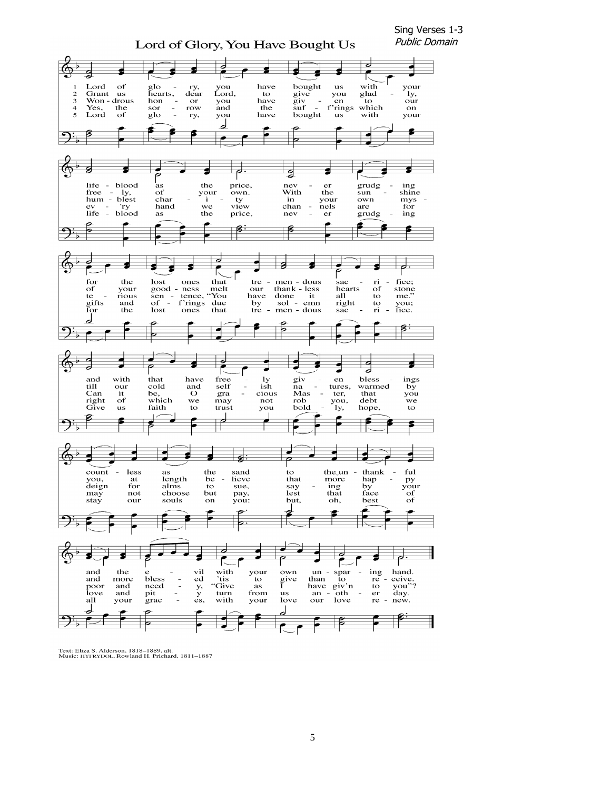

Text: Eliza S. Alderson, 1818–1889, alt.<br>Music: HYFRYDOL, Rowland H. Prichard, 1811–1887